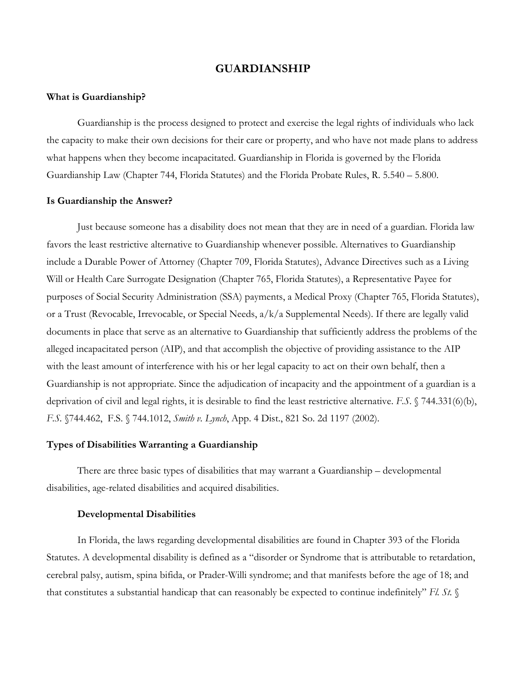# **GUARDIANSHIP**

## **What is Guardianship?**

Guardianship is the process designed to protect and exercise the legal rights of individuals who lack the capacity to make their own decisions for their care or property, and who have not made plans to address what happens when they become incapacitated. Guardianship in Florida is governed by the Florida Guardianship Law (Chapter 744, Florida Statutes) and the Florida Probate Rules, R. 5.540 – 5.800.

## **Is Guardianship the Answer?**

Just because someone has a disability does not mean that they are in need of a guardian. Florida law favors the least restrictive alternative to Guardianship whenever possible. Alternatives to Guardianship include a Durable Power of Attorney (Chapter 709, Florida Statutes), Advance Directives such as a Living Will or Health Care Surrogate Designation (Chapter 765, Florida Statutes), a Representative Payee for purposes of Social Security Administration (SSA) payments, a Medical Proxy (Chapter 765, Florida Statutes), or a Trust (Revocable, Irrevocable, or Special Needs, a/k/a Supplemental Needs). If there are legally valid documents in place that serve as an alternative to Guardianship that sufficiently address the problems of the alleged incapacitated person (AIP), and that accomplish the objective of providing assistance to the AIP with the least amount of interference with his or her legal capacity to act on their own behalf, then a Guardianship is not appropriate. Since the adjudication of incapacity and the appointment of a guardian is a deprivation of civil and legal rights, it is desirable to find the least restrictive alternative. *F.S*. § 744.331(6)(b), *F.S.* §744.462, F.S. § 744.1012, *Smith v. Lynch*, App. 4 Dist., 821 So. 2d 1197 (2002).

# **Types of Disabilities Warranting a Guardianship**

There are three basic types of disabilities that may warrant a Guardianship – developmental disabilities, age-related disabilities and acquired disabilities.

## **Developmental Disabilities**

In Florida, the laws regarding developmental disabilities are found in Chapter 393 of the Florida Statutes. A developmental disability is defined as a "disorder or Syndrome that is attributable to retardation, cerebral palsy, autism, spina bifida, or Prader-Willi syndrome; and that manifests before the age of 18; and that constitutes a substantial handicap that can reasonably be expected to continue indefinitely" *Fl. St.* §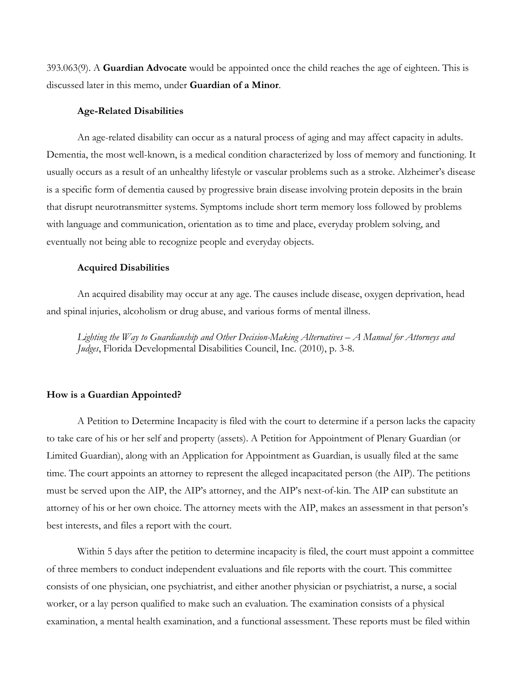393.063(9). A **Guardian Advocate** would be appointed once the child reaches the age of eighteen. This is discussed later in this memo, under **Guardian of a Minor**.

## **Age-Related Disabilities**

An age-related disability can occur as a natural process of aging and may affect capacity in adults. Dementia, the most well-known, is a medical condition characterized by loss of memory and functioning. It usually occurs as a result of an unhealthy lifestyle or vascular problems such as a stroke. Alzheimer's disease is a specific form of dementia caused by progressive brain disease involving protein deposits in the brain that disrupt neurotransmitter systems. Symptoms include short term memory loss followed by problems with language and communication, orientation as to time and place, everyday problem solving, and eventually not being able to recognize people and everyday objects.

#### **Acquired Disabilities**

An acquired disability may occur at any age. The causes include disease, oxygen deprivation, head and spinal injuries, alcoholism or drug abuse, and various forms of mental illness.

*Lighting the Way to Guardianship and Other Decision-Making Alternatives – A Manual for Attorneys and Judges*, Florida Developmental Disabilities Council, Inc. (2010), p. 3-8.

### **How is a Guardian Appointed?**

A Petition to Determine Incapacity is filed with the court to determine if a person lacks the capacity to take care of his or her self and property (assets). A Petition for Appointment of Plenary Guardian (or Limited Guardian), along with an Application for Appointment as Guardian, is usually filed at the same time. The court appoints an attorney to represent the alleged incapacitated person (the AIP). The petitions must be served upon the AIP, the AIP's attorney, and the AIP's next-of-kin. The AIP can substitute an attorney of his or her own choice. The attorney meets with the AIP, makes an assessment in that person's best interests, and files a report with the court.

Within 5 days after the petition to determine incapacity is filed, the court must appoint a committee of three members to conduct independent evaluations and file reports with the court. This committee consists of one physician, one psychiatrist, and either another physician or psychiatrist, a nurse, a social worker, or a lay person qualified to make such an evaluation. The examination consists of a physical examination, a mental health examination, and a functional assessment. These reports must be filed within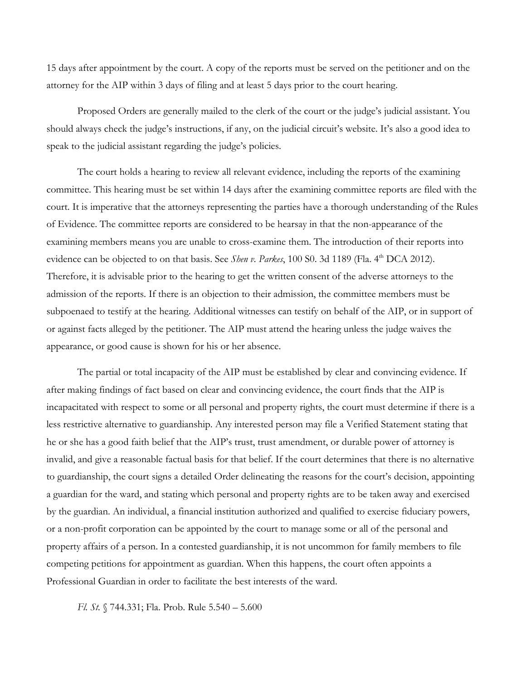15 days after appointment by the court. A copy of the reports must be served on the petitioner and on the attorney for the AIP within 3 days of filing and at least 5 days prior to the court hearing.

Proposed Orders are generally mailed to the clerk of the court or the judge's judicial assistant. You should always check the judge's instructions, if any, on the judicial circuit's website. It's also a good idea to speak to the judicial assistant regarding the judge's policies.

The court holds a hearing to review all relevant evidence, including the reports of the examining committee. This hearing must be set within 14 days after the examining committee reports are filed with the court. It is imperative that the attorneys representing the parties have a thorough understanding of the Rules of Evidence. The committee reports are considered to be hearsay in that the non-appearance of the examining members means you are unable to cross-examine them. The introduction of their reports into evidence can be objected to on that basis. See *Shen v. Parkes*, 100 S0. 3d 1189 (Fla. 4<sup>th</sup> DCA 2012). Therefore, it is advisable prior to the hearing to get the written consent of the adverse attorneys to the admission of the reports. If there is an objection to their admission, the committee members must be subpoenaed to testify at the hearing. Additional witnesses can testify on behalf of the AIP, or in support of or against facts alleged by the petitioner. The AIP must attend the hearing unless the judge waives the appearance, or good cause is shown for his or her absence.

The partial or total incapacity of the AIP must be established by clear and convincing evidence. If after making findings of fact based on clear and convincing evidence, the court finds that the AIP is incapacitated with respect to some or all personal and property rights, the court must determine if there is a less restrictive alternative to guardianship. Any interested person may file a Verified Statement stating that he or she has a good faith belief that the AIP's trust, trust amendment, or durable power of attorney is invalid, and give a reasonable factual basis for that belief. If the court determines that there is no alternative to guardianship, the court signs a detailed Order delineating the reasons for the court's decision, appointing a guardian for the ward, and stating which personal and property rights are to be taken away and exercised by the guardian. An individual, a financial institution authorized and qualified to exercise fiduciary powers, or a non-profit corporation can be appointed by the court to manage some or all of the personal and property affairs of a person. In a contested guardianship, it is not uncommon for family members to file competing petitions for appointment as guardian. When this happens, the court often appoints a Professional Guardian in order to facilitate the best interests of the ward.

*Fl. St.* § 744.331; Fla. Prob. Rule 5.540 – 5.600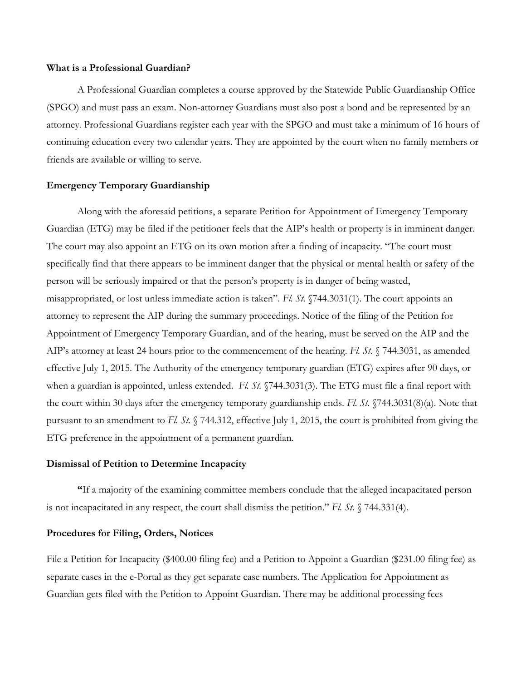#### **What is a Professional Guardian?**

A Professional Guardian completes a course approved by the Statewide Public Guardianship Office (SPGO) and must pass an exam. Non-attorney Guardians must also post a bond and be represented by an attorney. Professional Guardians register each year with the SPGO and must take a minimum of 16 hours of continuing education every two calendar years. They are appointed by the court when no family members or friends are available or willing to serve.

## **Emergency Temporary Guardianship**

Along with the aforesaid petitions, a separate Petition for Appointment of Emergency Temporary Guardian (ETG) may be filed if the petitioner feels that the AIP's health or property is in imminent danger. The court may also appoint an ETG on its own motion after a finding of incapacity. "The court must specifically find that there appears to be imminent danger that the physical or mental health or safety of the person will be seriously impaired or that the person's property is in danger of being wasted, misappropriated, or lost unless immediate action is taken". *Fl. St.* §744.3031(1). The court appoints an attorney to represent the AIP during the summary proceedings. Notice of the filing of the Petition for Appointment of Emergency Temporary Guardian, and of the hearing, must be served on the AIP and the AIP's attorney at least 24 hours prior to the commencement of the hearing. *Fl. St.* § 744.3031, as amended effective July 1, 2015. The Authority of the emergency temporary guardian (ETG) expires after 90 days, or when a guardian is appointed, unless extended. *Fl. St.* §744.3031(3). The ETG must file a final report with the court within 30 days after the emergency temporary guardianship ends. *Fl. St.* §744.3031(8)(a). Note that pursuant to an amendment to *Fl. St.* § 744.312, effective July 1, 2015, the court is prohibited from giving the ETG preference in the appointment of a permanent guardian.

# **Dismissal of Petition to Determine Incapacity**

**"**If a majority of the examining committee members conclude that the alleged incapacitated person is not incapacitated in any respect, the court shall dismiss the petition." *Fl. St.* § 744.331(4).

## **Procedures for Filing, Orders, Notices**

File a Petition for Incapacity (\$400.00 filing fee) and a Petition to Appoint a Guardian (\$231.00 filing fee) as separate cases in the e-Portal as they get separate case numbers. The Application for Appointment as Guardian gets filed with the Petition to Appoint Guardian. There may be additional processing fees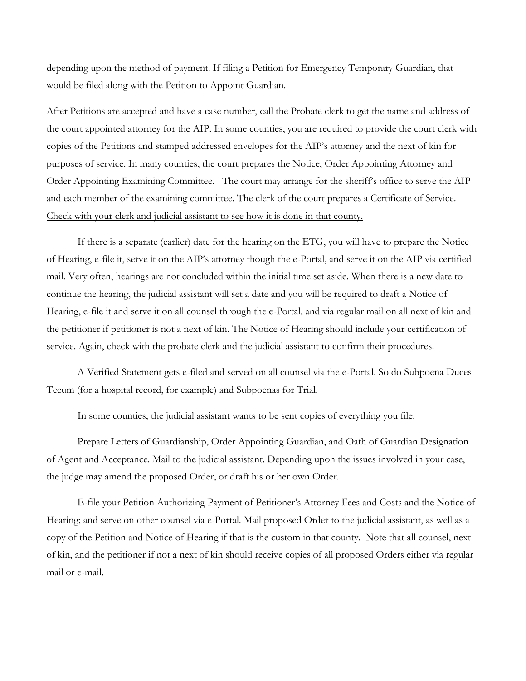depending upon the method of payment. If filing a Petition for Emergency Temporary Guardian, that would be filed along with the Petition to Appoint Guardian.

After Petitions are accepted and have a case number, call the Probate clerk to get the name and address of the court appointed attorney for the AIP. In some counties, you are required to provide the court clerk with copies of the Petitions and stamped addressed envelopes for the AIP's attorney and the next of kin for purposes of service. In many counties, the court prepares the Notice, Order Appointing Attorney and Order Appointing Examining Committee. The court may arrange for the sheriff's office to serve the AIP and each member of the examining committee. The clerk of the court prepares a Certificate of Service. Check with your clerk and judicial assistant to see how it is done in that county.

If there is a separate (earlier) date for the hearing on the ETG, you will have to prepare the Notice of Hearing, e-file it, serve it on the AIP's attorney though the e-Portal, and serve it on the AIP via certified mail. Very often, hearings are not concluded within the initial time set aside. When there is a new date to continue the hearing, the judicial assistant will set a date and you will be required to draft a Notice of Hearing, e-file it and serve it on all counsel through the e-Portal, and via regular mail on all next of kin and the petitioner if petitioner is not a next of kin. The Notice of Hearing should include your certification of service. Again, check with the probate clerk and the judicial assistant to confirm their procedures.

A Verified Statement gets e-filed and served on all counsel via the e-Portal. So do Subpoena Duces Tecum (for a hospital record, for example) and Subpoenas for Trial.

In some counties, the judicial assistant wants to be sent copies of everything you file.

Prepare Letters of Guardianship, Order Appointing Guardian, and Oath of Guardian Designation of Agent and Acceptance. Mail to the judicial assistant. Depending upon the issues involved in your case, the judge may amend the proposed Order, or draft his or her own Order.

E-file your Petition Authorizing Payment of Petitioner's Attorney Fees and Costs and the Notice of Hearing; and serve on other counsel via e-Portal. Mail proposed Order to the judicial assistant, as well as a copy of the Petition and Notice of Hearing if that is the custom in that county. Note that all counsel, next of kin, and the petitioner if not a next of kin should receive copies of all proposed Orders either via regular mail or e-mail.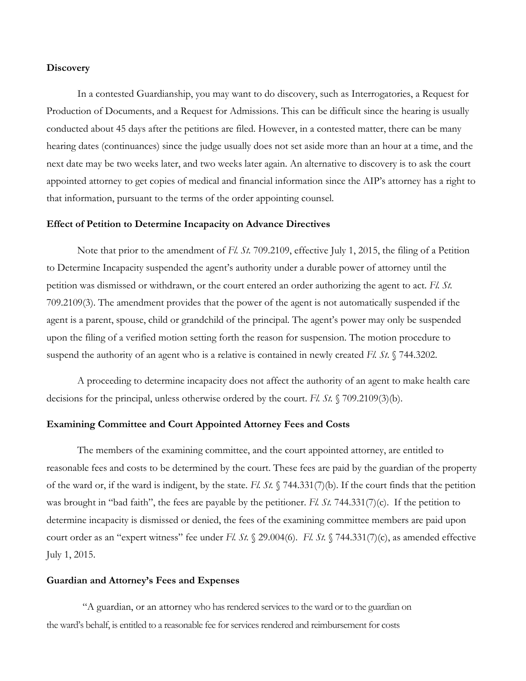### **Discovery**

In a contested Guardianship, you may want to do discovery, such as Interrogatories, a Request for Production of Documents, and a Request for Admissions. This can be difficult since the hearing is usually conducted about 45 days after the petitions are filed. However, in a contested matter, there can be many hearing dates (continuances) since the judge usually does not set aside more than an hour at a time, and the next date may be two weeks later, and two weeks later again. An alternative to discovery is to ask the court appointed attorney to get copies of medical and financial information since the AIP's attorney has a right to that information, pursuant to the terms of the order appointing counsel.

### **Effect of Petition to Determine Incapacity on Advance Directives**

Note that prior to the amendment of *Fl. St.* 709.2109, effective July 1, 2015, the filing of a Petition to Determine Incapacity suspended the agent's authority under a durable power of attorney until the petition was dismissed or withdrawn, or the court entered an order authorizing the agent to act. *Fl. St.* 709.2109(3). The amendment provides that the power of the agent is not automatically suspended if the agent is a parent, spouse, child or grandchild of the principal. The agent's power may only be suspended upon the filing of a verified motion setting forth the reason for suspension. The motion procedure to suspend the authority of an agent who is a relative is contained in newly created *Fl. St*. § 744.3202.

A proceeding to determine incapacity does not affect the authority of an agent to make health care decisions for the principal, unless otherwise ordered by the court. *Fl. St.* § 709.2109(3)(b).

#### **Examining Committee and Court Appointed Attorney Fees and Costs**

The members of the examining committee, and the court appointed attorney, are entitled to reasonable fees and costs to be determined by the court. These fees are paid by the guardian of the property of the ward or, if the ward is indigent, by the state. *Fl. St.* § 744.331(7)(b). If the court finds that the petition was brought in "bad faith", the fees are payable by the petitioner. *Fl. St.* 744.331(7)(c). If the petition to determine incapacity is dismissed or denied, the fees of the examining committee members are paid upon court order as an "expert witness" fee under *Fl. St.* § 29.004(6). *Fl. St.* § 744.331(7)(c), as amended effective July 1, 2015.

#### **Guardian and Attorney's Fees and Expenses**

"A guardian, or an attorney who has rendered services to the ward or to the guardian on the ward's behalf, is entitled to a reasonable fee for services rendered and reimbursement for costs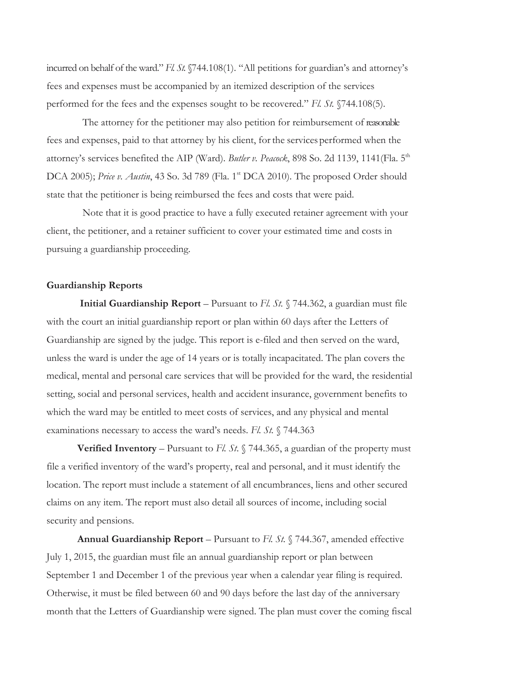incurred on behalf of the ward." *Fl. St.* §744.108(1). "All petitions for guardian's and attorney's fees and expenses must be accompanied by an itemized description of the services performed for the fees and the expenses sought to be recovered." *Fl. St.* §744.108(5).

 The attorney for the petitioner may also petition for reimbursement of reasonable fees and expenses, paid to that attorney by his client, forthe servicesperformed when the attorney's services benefited the AIP (Ward). *Butler v. Peacock*, 898 So. 2d 1139, 1141(Fla. 5th DCA 2005); *Price v. Austin*, 43 So. 3d 789 (Fla. 1<sup>st</sup> DCA 2010). The proposed Order should state that the petitioner is being reimbursed the fees and costs that were paid.

 Note that it is good practice to have a fully executed retainer agreement with your client, the petitioner, and a retainer sufficient to cover your estimated time and costs in pursuing a guardianship proceeding.

### **Guardianship Reports**

**Initial Guardianship Report** – Pursuant to *Fl. St.* § 744.362, a guardian must file with the court an initial guardianship report or plan within 60 days after the Letters of Guardianship are signed by the judge. This report is e-filed and then served on the ward, unless the ward is under the age of 14 years or is totally incapacitated. The plan covers the medical, mental and personal care services that will be provided for the ward, the residential setting, social and personal services, health and accident insurance, government benefits to which the ward may be entitled to meet costs of services, and any physical and mental examinations necessary to access the ward's needs. *Fl. St.* § 744.363

**Verified Inventory** – Pursuant to *Fl. St.* § 744.365, a guardian of the property must file a verified inventory of the ward's property, real and personal, and it must identify the location. The report must include a statement of all encumbrances, liens and other secured claims on any item. The report must also detail all sources of income, including social security and pensions.

**Annual Guardianship Report** – Pursuant to *Fl. St.* § 744.367, amended effective July 1, 2015, the guardian must file an annual guardianship report or plan between September 1 and December 1 of the previous year when a calendar year filing is required. Otherwise, it must be filed between 60 and 90 days before the last day of the anniversary month that the Letters of Guardianship were signed. The plan must cover the coming fiscal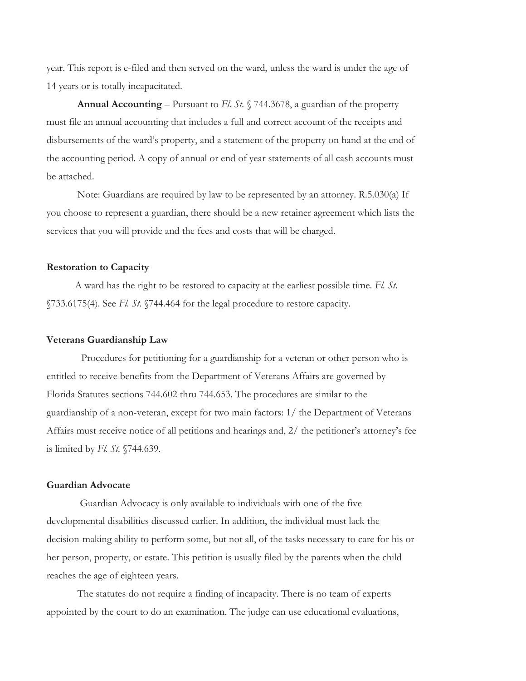year. This report is e-filed and then served on the ward, unless the ward is under the age of 14 years or is totally incapacitated.

**Annual Accounting** – Pursuant to *Fl. St.* § 744.3678, a guardian of the property must file an annual accounting that includes a full and correct account of the receipts and disbursements of the ward's property, and a statement of the property on hand at the end of the accounting period. A copy of annual or end of year statements of all cash accounts must be attached.

Note: Guardians are required by law to be represented by an attorney. R.5.030(a) If you choose to represent a guardian, there should be a new retainer agreement which lists the services that you will provide and the fees and costs that will be charged.

## **Restoration to Capacity**

A ward has the right to be restored to capacity at the earliest possible time. *Fl. St*. §733.6175(4). See *Fl. St*. §744.464 for the legal procedure to restore capacity.

# **Veterans Guardianship Law**

Procedures for petitioning for a guardianship for a veteran or other person who is entitled to receive benefits from the Department of Veterans Affairs are governed by Florida Statutes sections 744.602 thru 744.653. The procedures are similar to the guardianship of a non-veteran, except for two main factors: 1/ the Department of Veterans Affairs must receive notice of all petitions and hearings and, 2/ the petitioner's attorney's fee is limited by *Fl. St.* §744.639.

# **Guardian Advocate**

Guardian Advocacy is only available to individuals with one of the five developmental disabilities discussed earlier. In addition, the individual must lack the decision-making ability to perform some, but not all, of the tasks necessary to care for his or her person, property, or estate. This petition is usually filed by the parents when the child reaches the age of eighteen years.

The statutes do not require a finding of incapacity. There is no team of experts appointed by the court to do an examination. The judge can use educational evaluations,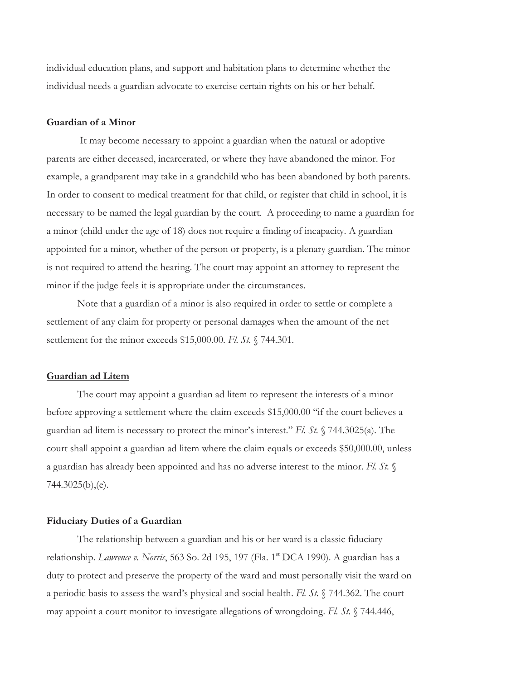individual education plans, and support and habitation plans to determine whether the individual needs a guardian advocate to exercise certain rights on his or her behalf.

# **Guardian of a Minor**

It may become necessary to appoint a guardian when the natural or adoptive parents are either deceased, incarcerated, or where they have abandoned the minor. For example, a grandparent may take in a grandchild who has been abandoned by both parents. In order to consent to medical treatment for that child, or register that child in school, it is necessary to be named the legal guardian by the court. A proceeding to name a guardian for a minor (child under the age of 18) does not require a finding of incapacity. A guardian appointed for a minor, whether of the person or property, is a plenary guardian. The minor is not required to attend the hearing. The court may appoint an attorney to represent the minor if the judge feels it is appropriate under the circumstances.

 Note that a guardian of a minor is also required in order to settle or complete a settlement of any claim for property or personal damages when the amount of the net settlement for the minor exceeds \$15,000.00. *Fl. St.* § 744.301.

#### **Guardian ad Litem**

 The court may appoint a guardian ad litem to represent the interests of a minor before approving a settlement where the claim exceeds \$15,000.00 "if the court believes a guardian ad litem is necessary to protect the minor's interest." *Fl. St.* § 744.3025(a). The court shall appoint a guardian ad litem where the claim equals or exceeds \$50,000.00, unless a guardian has already been appointed and has no adverse interest to the minor. *Fl. St.* § 744.3025(b),(e).

#### **Fiduciary Duties of a Guardian**

 The relationship between a guardian and his or her ward is a classic fiduciary relationship. *Lawrence v. Norris*, 563 So. 2d 195, 197 (Fla. 1<sup>st</sup> DCA 1990). A guardian has a duty to protect and preserve the property of the ward and must personally visit the ward on a periodic basis to assess the ward's physical and social health. *Fl. St.* § 744.362. The court may appoint a court monitor to investigate allegations of wrongdoing. *Fl. St.* § 744.446,